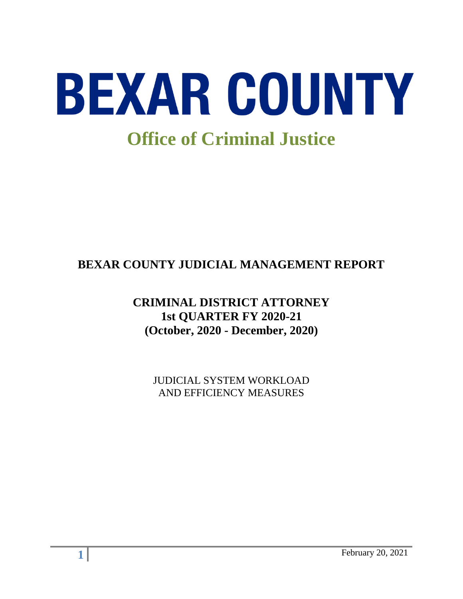

# **BEXAR COUNTY JUDICIAL MANAGEMENT REPORT**

## **CRIMINAL DISTRICT ATTORNEY 1st QUARTER FY 2020-21 (October, 2020 - December, 2020)**

JUDICIAL SYSTEM WORKLOAD AND EFFICIENCY MEASURES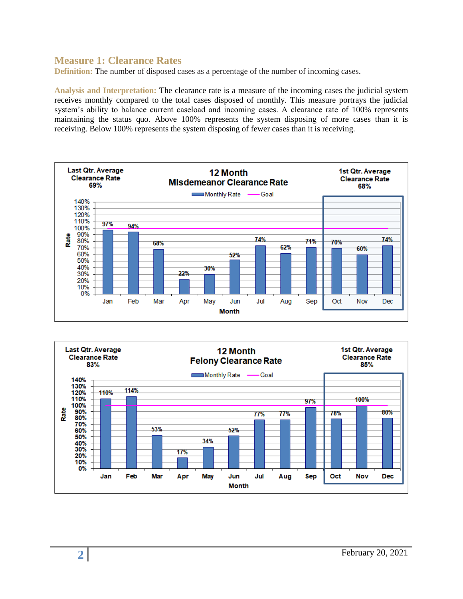#### **Measure 1: Clearance Rates**

**Definition:** The number of disposed cases as a percentage of the number of incoming cases.

**Analysis and Interpretation:** The clearance rate is a measure of the incoming cases the judicial system receives monthly compared to the total cases disposed of monthly. This measure portrays the judicial system's ability to balance current caseload and incoming cases. A clearance rate of 100% represents maintaining the status quo. Above 100% represents the system disposing of more cases than it is receiving. Below 100% represents the system disposing of fewer cases than it is receiving.



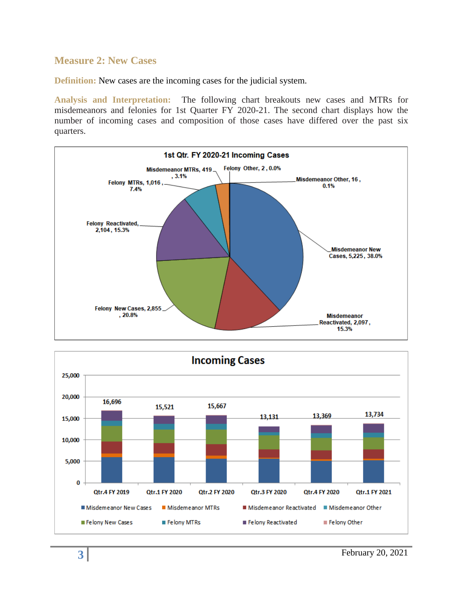#### **Measure 2: New Cases**

**Definition:** New cases are the incoming cases for the judicial system.

**Analysis and Interpretation:** The following chart breakouts new cases and MTRs for misdemeanors and felonies for 1st Quarter FY 2020-21. The second chart displays how the number of incoming cases and composition of those cases have differed over the past six quarters.



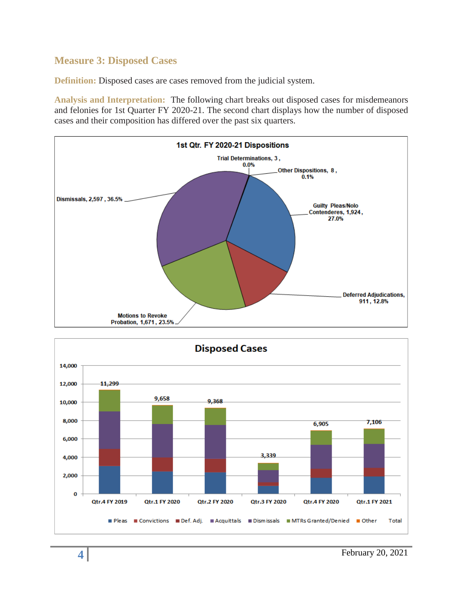## **Measure 3: Disposed Cases**

**Definition:** Disposed cases are cases removed from the judicial system.

**Analysis and Interpretation:** The following chart breaks out disposed cases for misdemeanors and felonies for 1st Quarter FY 2020-21. The second chart displays how the number of disposed cases and their composition has differed over the past six quarters.



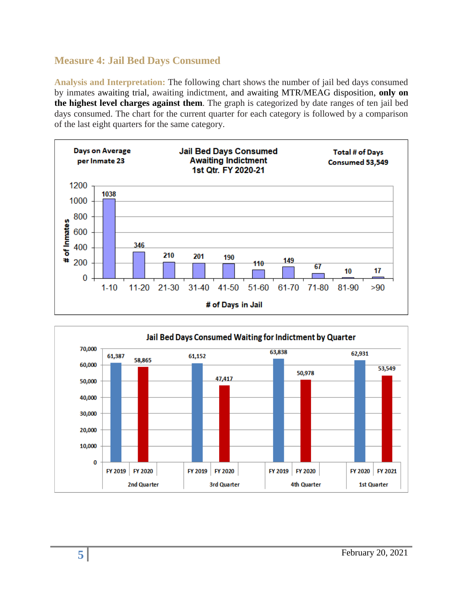## **Measure 4: Jail Bed Days Consumed**

**Analysis and Interpretation:** The following chart shows the number of jail bed days consumed by inmates awaiting trial, awaiting indictment, and awaiting MTR/MEAG disposition, **only on the highest level charges against them**. The graph is categorized by date ranges of ten jail bed days consumed. The chart for the current quarter for each category is followed by a comparison of the last eight quarters for the same category.



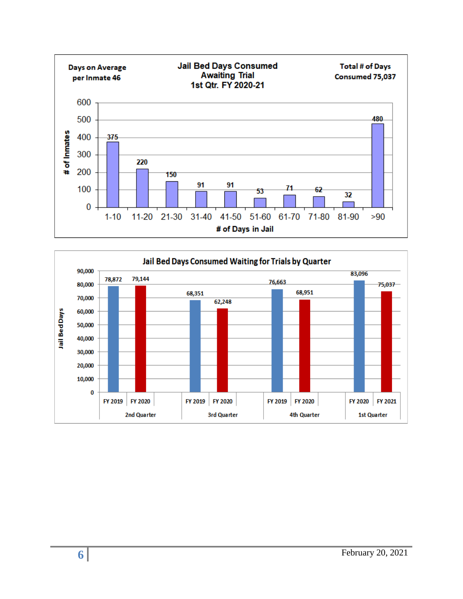

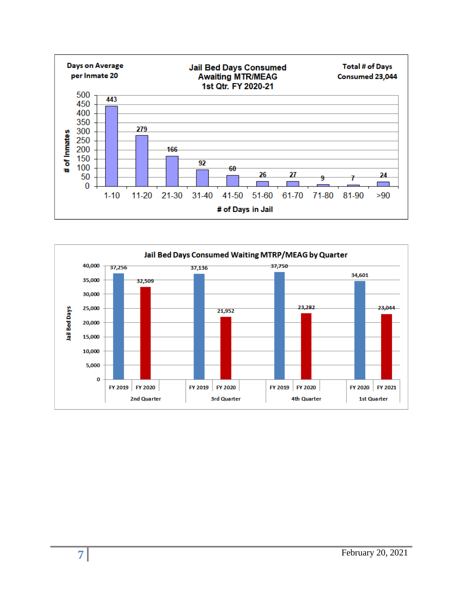

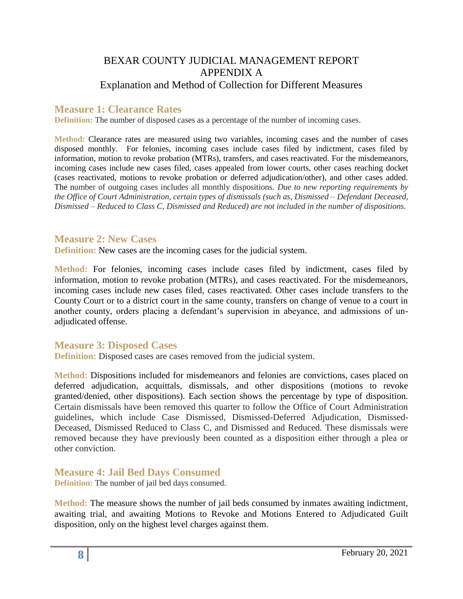## BEXAR COUNTY JUDICIAL MANAGEMENT REPORT APPENDIX A Explanation and Method of Collection for Different Measures

### **Measure 1: Clearance Rates**

**Definition:** The number of disposed cases as a percentage of the number of incoming cases.

**Method:** Clearance rates are measured using two variables, incoming cases and the number of cases disposed monthly. For felonies, incoming cases include cases filed by indictment, cases filed by information, motion to revoke probation (MTRs), transfers, and cases reactivated. For the misdemeanors, incoming cases include new cases filed, cases appealed from lower courts, other cases reaching docket (cases reactivated, motions to revoke probation or deferred adjudication/other), and other cases added. The number of outgoing cases includes all monthly dispositions. *Due to new reporting requirements by the Office of Court Administration, certain types of dismissals (such as, Dismissed – Defendant Deceased, Dismissed – Reduced to Class C, Dismissed and Reduced) are not included in the number of dispositions.*

#### **Measure 2: New Cases**

**Definition:** New cases are the incoming cases for the judicial system.

**Method:** For felonies, incoming cases include cases filed by indictment, cases filed by information, motion to revoke probation (MTRs), and cases reactivated. For the misdemeanors, incoming cases include new cases filed, cases reactivated. Other cases include transfers to the County Court or to a district court in the same county, transfers on change of venue to a court in another county, orders placing a defendant's supervision in abeyance, and admissions of unadjudicated offense.

#### **Measure 3: Disposed Cases**

**Definition:** Disposed cases are cases removed from the judicial system.

**Method:** Dispositions included for misdemeanors and felonies are convictions, cases placed on deferred adjudication, acquittals, dismissals, and other dispositions (motions to revoke granted/denied, other dispositions). Each section shows the percentage by type of disposition. Certain dismissals have been removed this quarter to follow the Office of Court Administration guidelines, which include Case Dismissed, Dismissed-Deferred Adjudication, Dismissed-Deceased, Dismissed Reduced to Class C, and Dismissed and Reduced. These dismissals were removed because they have previously been counted as a disposition either through a plea or other conviction.

**Measure 4: Jail Bed Days Consumed** 

**Definition:** The number of jail bed days consumed.

**Method:** The measure shows the number of jail beds consumed by inmates awaiting indictment, awaiting trial, and awaiting Motions to Revoke and Motions Entered to Adjudicated Guilt disposition, only on the highest level charges against them.